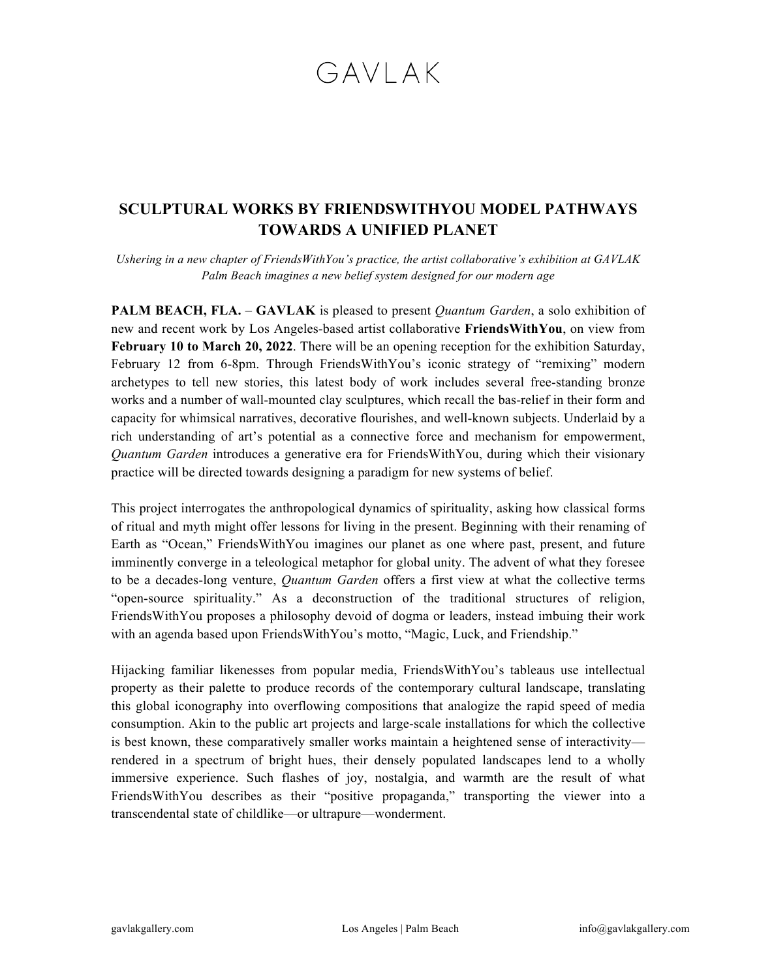## GAVI AK

## **SCULPTURAL WORKS BY FRIENDSWITHYOU MODEL PATHWAYS TOWARDS A UNIFIED PLANET**

*Ushering in a new chapter of FriendsWithYou's practice, the artist collaborative's exhibition at GAVLAK Palm Beach imagines a new belief system designed for our modern age*

**PALM BEACH, FLA.** – **GAVLAK** is pleased to present *Quantum Garden*, a solo exhibition of new and recent work by Los Angeles-based artist collaborative **FriendsWithYou**, on view from **February 10 to March 20, 2022**. There will be an opening reception for the exhibition Saturday, February 12 from 6-8pm. Through FriendsWithYou's iconic strategy of "remixing" modern archetypes to tell new stories, this latest body of work includes several free-standing bronze works and a number of wall-mounted clay sculptures, which recall the bas-relief in their form and capacity for whimsical narratives, decorative flourishes, and well-known subjects. Underlaid by a rich understanding of art's potential as a connective force and mechanism for empowerment, *Quantum Garden* introduces a generative era for FriendsWithYou, during which their visionary practice will be directed towards designing a paradigm for new systems of belief.

This project interrogates the anthropological dynamics of spirituality, asking how classical forms of ritual and myth might offer lessons for living in the present. Beginning with their renaming of Earth as "Ocean," FriendsWithYou imagines our planet as one where past, present, and future imminently converge in a teleological metaphor for global unity. The advent of what they foresee to be a decades-long venture, *Quantum Garden* offers a first view at what the collective terms "open-source spirituality." As a deconstruction of the traditional structures of religion, FriendsWithYou proposes a philosophy devoid of dogma or leaders, instead imbuing their work with an agenda based upon FriendsWithYou's motto, "Magic, Luck, and Friendship."

Hijacking familiar likenesses from popular media, FriendsWithYou's tableaus use intellectual property as their palette to produce records of the contemporary cultural landscape, translating this global iconography into overflowing compositions that analogize the rapid speed of media consumption. Akin to the public art projects and large-scale installations for which the collective is best known, these comparatively smaller works maintain a heightened sense of interactivity rendered in a spectrum of bright hues, their densely populated landscapes lend to a wholly immersive experience. Such flashes of joy, nostalgia, and warmth are the result of what FriendsWithYou describes as their "positive propaganda," transporting the viewer into a transcendental state of childlike—or ultrapure—wonderment.